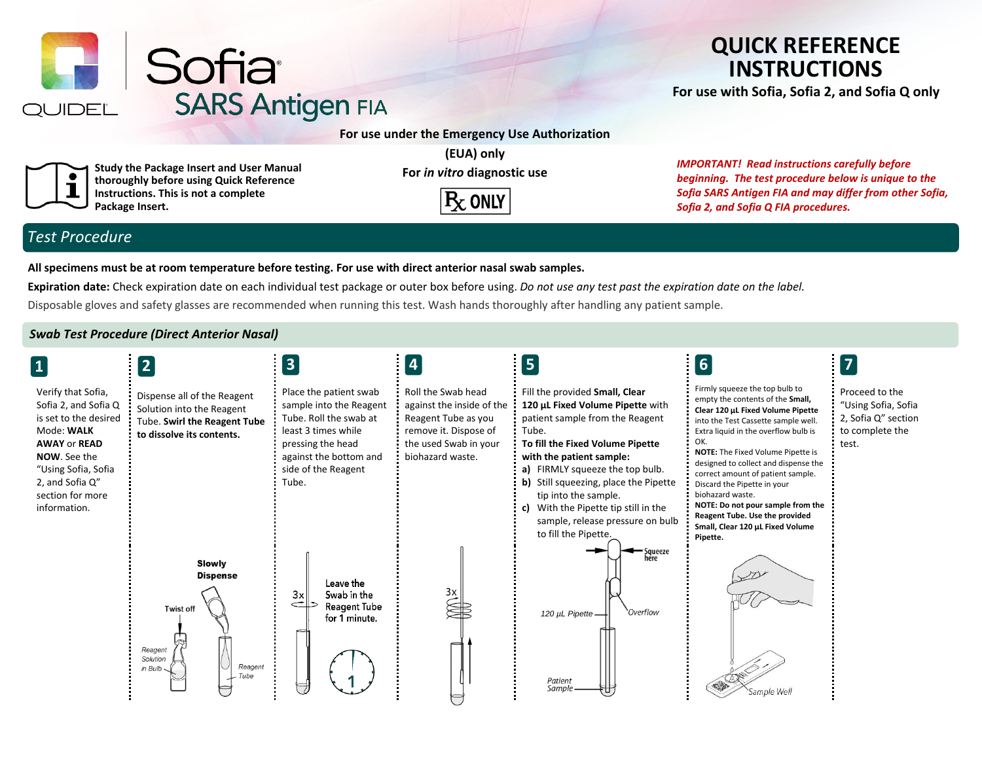

# **QUICK REFERENCE INSTRUCTIONS**

**For use with Sofia, Sofia 2, and Sofia Q only**

**Study the Package Insert and User Manual thoroughly before using Quick Reference Instructions. This is not a complete Package Insert.**

**(EUA) only For** *in vitro* **diagnostic use**



*IMPORTANT! Read instructions carefully before beginning. The test procedure below is unique to the Sofia SARS Antigen FIA and may differ from other Sofia, Sofia 2, and Sofia Q FIA procedures.*

# *Test Procedure*

**All specimens must be at room temperature before testing. For use with direct anterior nasal swab samples.**

**Expiration date:** Check expiration date on each individual test package or outer box before using. *Do not use any test past the expiration date on the label.*

Disposable gloves and safety glasses are recommended when running this test. Wash hands thoroughly after handling any patient sample.

### *Swab Test Procedure (Direct Anterior Nasal)*

| $\vert$ 1                                                                                                                                                                                                     | $\overline{2}$                                                                                                        | $\vert 3 \vert$                                                                                                                                                                   | $\overline{\mathbf{4}}$                                                                                                                      | $\vert 5 \vert$                                                                                                                                                                                                                                                                                                                                                                        | 6                                                                                                                                                                                                                                                                                                                                                                                                                                                                                         | $\boxed{7}$                                                                              |
|---------------------------------------------------------------------------------------------------------------------------------------------------------------------------------------------------------------|-----------------------------------------------------------------------------------------------------------------------|-----------------------------------------------------------------------------------------------------------------------------------------------------------------------------------|----------------------------------------------------------------------------------------------------------------------------------------------|----------------------------------------------------------------------------------------------------------------------------------------------------------------------------------------------------------------------------------------------------------------------------------------------------------------------------------------------------------------------------------------|-------------------------------------------------------------------------------------------------------------------------------------------------------------------------------------------------------------------------------------------------------------------------------------------------------------------------------------------------------------------------------------------------------------------------------------------------------------------------------------------|------------------------------------------------------------------------------------------|
| Verify that Sofia,<br>Sofia 2, and Sofia Q<br>is set to the desired<br>Mode: WALK<br><b>AWAY or READ</b><br><b>NOW.</b> See the<br>"Using Sofia, Sofia<br>2, and Sofia Q"<br>section for more<br>information. | Dispense all of the Reagent<br>Solution into the Reagent<br>Tube. Swirl the Reagent Tube<br>to dissolve its contents. | Place the patient swab<br>sample into the Reagent<br>Tube. Roll the swab at<br>least 3 times while<br>pressing the head<br>against the bottom and<br>side of the Reagent<br>Tube. | Roll the Swab head<br>against the inside of the<br>Reagent Tube as you<br>remove it. Dispose of<br>the used Swab in your<br>biohazard waste. | Fill the provided Small, Clear<br>120 µL Fixed Volume Pipette with<br>patient sample from the Reagent<br>Tube.<br>To fill the Fixed Volume Pipette<br>with the patient sample:<br>a) FIRMLY squeeze the top bulb.<br>b) Still squeezing, place the Pipette<br>tip into the sample.<br>c) With the Pipette tip still in the<br>sample, release pressure on bulb<br>to fill the Pipette. | Firmly squeeze the top bulb to<br>empty the contents of the Small,<br>Clear 120 µL Fixed Volume Pipette<br>into the Test Cassette sample well.<br>Extra liquid in the overflow bulb is<br>OK.<br>NOTE: The Fixed Volume Pipette is<br>designed to collect and dispense the<br>correct amount of patient sample.<br>Discard the Pipette in your<br>biohazard waste.<br>NOTE: Do not pour sample from the<br>Reagent Tube. Use the provided<br>Small, Clear 120 µL Fixed Volume<br>Pipette. | Proceed to the<br>"Using Sofia, Sofia<br>2, Sofia Q" section<br>to complete the<br>test. |
|                                                                                                                                                                                                               | Slowly<br><b>Dispense</b><br><b>Twist off</b><br>Reagent<br>Solution<br>Reagent<br>in Bulb<br>$-$ Tube                | Leave the<br>Swab in the<br>3x<br>$\Rightarrow$<br><b>Reagent Tube</b><br>for 1 minute.                                                                                           | Зx                                                                                                                                           | — Squeeze<br>here<br>Overflow<br>120 µL Pipette-<br>Patient<br>Sample.                                                                                                                                                                                                                                                                                                                 | Sample Well                                                                                                                                                                                                                                                                                                                                                                                                                                                                               |                                                                                          |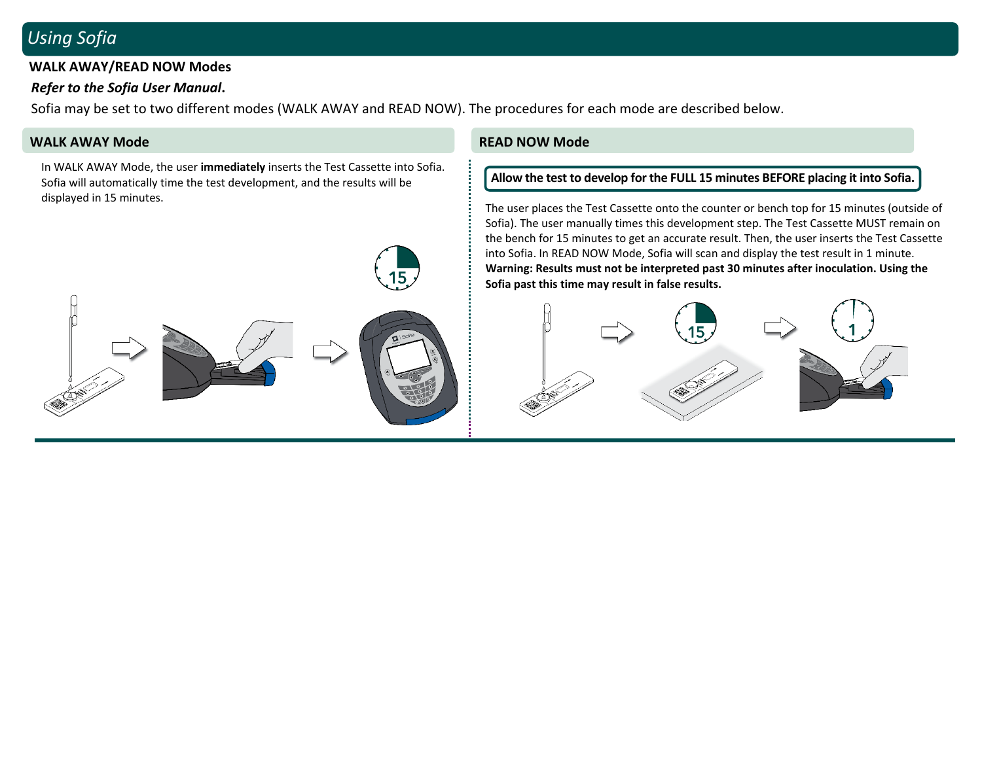# *Using Sofia*

### **WALK AWAY/READ NOW Modes**

## *Refer to the Sofia User Manual***.**

Sofia may be set to two different modes (WALK AWAY and READ NOW). The procedures for each mode are described below.

## **WALK AWAY Mode READ NOW Mode**

In WALK AWAY Mode, the user **immediately** inserts the Test Cassette into Sofia. Sofia will automatically time the test development, and the results will be displayed in 15 minutes.



### **Allow the test to develop for the FULL 15 minutes BEFORE placing it into Sofia.**

The user places the Test Cassette onto the counter or bench top for 15 minutes (outside of Sofia). The user manually times this development step. The Test Cassette MUST remain on the bench for 15 minutes to get an accurate result. Then, the user inserts the Test Cassette into Sofia. In READ NOW Mode, Sofia will scan and display the test result in 1 minute. **Warning: Results must not be interpreted past 30 minutes after inoculation. Using the Sofia past this time may result in false results.**

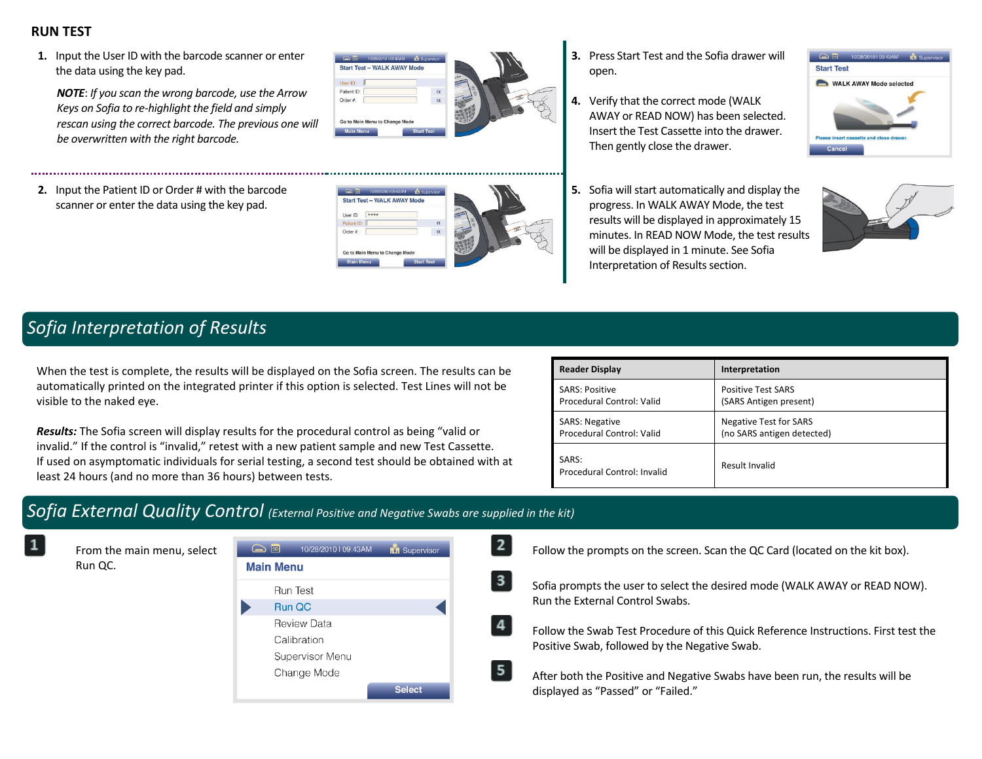# **RUN TEST**

**1.** Input the User ID with the barcode scanner or enter the data using the key pad.

*NOTE*: *If you scan the wrong barcode, use the Arrow Keys on Sofia to re-highlight the field and simply rescan using the correct barcode. The previous one will be overwritten with the right barcode.*

**2.** Input the Patient ID or Order # with the barcode scanner or enter the data using the key pad.



 $\overline{2}$ 

3

 $\overline{a}$ 

 $5<sub>1</sub>$ 

Start Test - WALK AWAY More

User ID: Patient ID Order # Go to Main I

- **3.** Press Start Test and the Sofia drawer will open.
- **4.** Verify that the correct mode (WALK AWAY or READ NOW) has been selected. Insert the Test Cassette into the drawer. Then gently close the drawer.



**5.** Sofia will start automatically and display the progress. In WALK AWAY Mode, the test results will be displayed in approximately 15 minutes. In READ NOW Mode, the test results will be displayed in 1 minute. See Sofia Interpretation of Results section.



# *Sofia Interpretation of Results*

When the test is complete, the results will be displayed on the Sofia screen. The results can be automatically printed on the integrated printer if this option is selected. Test Lines will not be visible to the naked eye.

*Results:* The Sofia screen will display results for the procedural control as being "valid or invalid." If the control is "invalid," retest with a new patient sample and new Test Cassette. If used on asymptomatic individuals for serial testing, a second test should be obtained with at least 24 hours (and no more than 36 hours) between tests.

| <b>Reader Display</b>                | Interpretation                |
|--------------------------------------|-------------------------------|
| <b>SARS: Positive</b>                | <b>Positive Test SARS</b>     |
| Procedural Control: Valid            | (SARS Antigen present)        |
| <b>SARS: Negative</b>                | <b>Negative Test for SARS</b> |
| Procedural Control: Valid            | (no SARS antigen detected)    |
| SARS:<br>Procedural Control: Invalid | Result Invalid                |

# *Sofia External Quality Control (External Positive and Negative Swabs are supplied in the kit)*

From the main menu, select Run QC.

| $\bigcirc$ so $\bigcirc$ | 10/28/2010   09:43AM | <b>IM</b> Supervisor |  |  |
|--------------------------|----------------------|----------------------|--|--|
| <b>Main Menu</b>         |                      |                      |  |  |
|                          | Run Test             |                      |  |  |
| <b>Run QC</b>            |                      |                      |  |  |
|                          | <b>Review Data</b>   |                      |  |  |
|                          | Calibration          |                      |  |  |
|                          | Supervisor Menu      |                      |  |  |
|                          | Change Mode          |                      |  |  |
|                          |                      | <b>Select</b>        |  |  |

Follow the prompts on the screen. Scan the QC Card (located on the kit box).

Sofia prompts the user to select the desired mode (WALK AWAY or READ NOW). Run the External Control Swabs.

Follow the Swab Test Procedure of this Quick Reference Instructions. First test the Positive Swab, followed by the Negative Swab.

After both the Positive and Negative Swabs have been run, the results will be displayed as "Passed" or "Failed."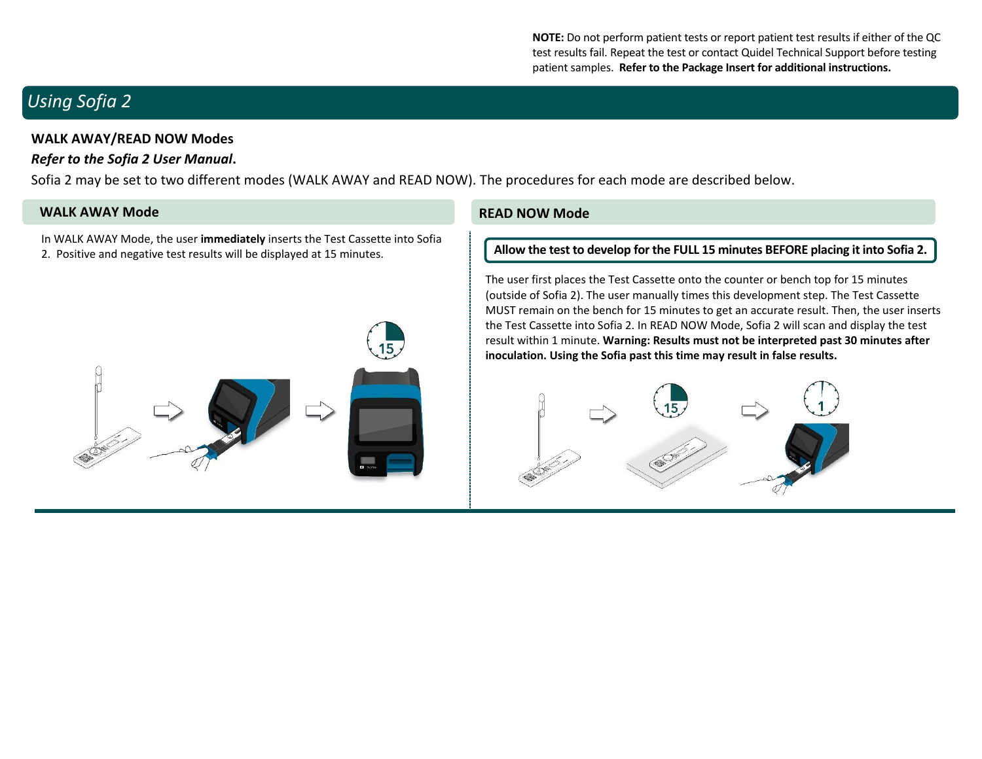**NOTE:** Do not perform patient tests or report patient test results if either of the QC test results fail. Repeat the test or contact Quidel Technical Support before testing patient samples. **Refer to the Package Insert for additional instructions.**

# *Using Sofia 2*

## **WALK AWAY/READ NOW Modes**

# *Refer to the Sofia 2 User Manual***.**

Sofia 2 may be set to two different modes (WALK AWAY and READ NOW). The procedures for each mode are described below.

## **WALK AWAY Mode READ NOW Mode**

In WALK AWAY Mode, the user **immediately** inserts the Test Cassette into Sofia 2. Positive and negative test results will be displayed at 15 minutes.



### **Allow the test to develop for the FULL 15 minutes BEFORE placing it into Sofia 2.**

The user first places the Test Cassette onto the counter or bench top for 15 minutes (outside of Sofia 2). The user manually times this development step. The Test Cassette MUST remain on the bench for 15 minutes to get an accurate result. Then, the user inserts the Test Cassette into Sofia 2. In READ NOW Mode, Sofia 2 will scan and display the test result within 1 minute. **Warning: Results must not be interpreted past 30 minutes after inoculation. Using the Sofia past this time may result in false results.**

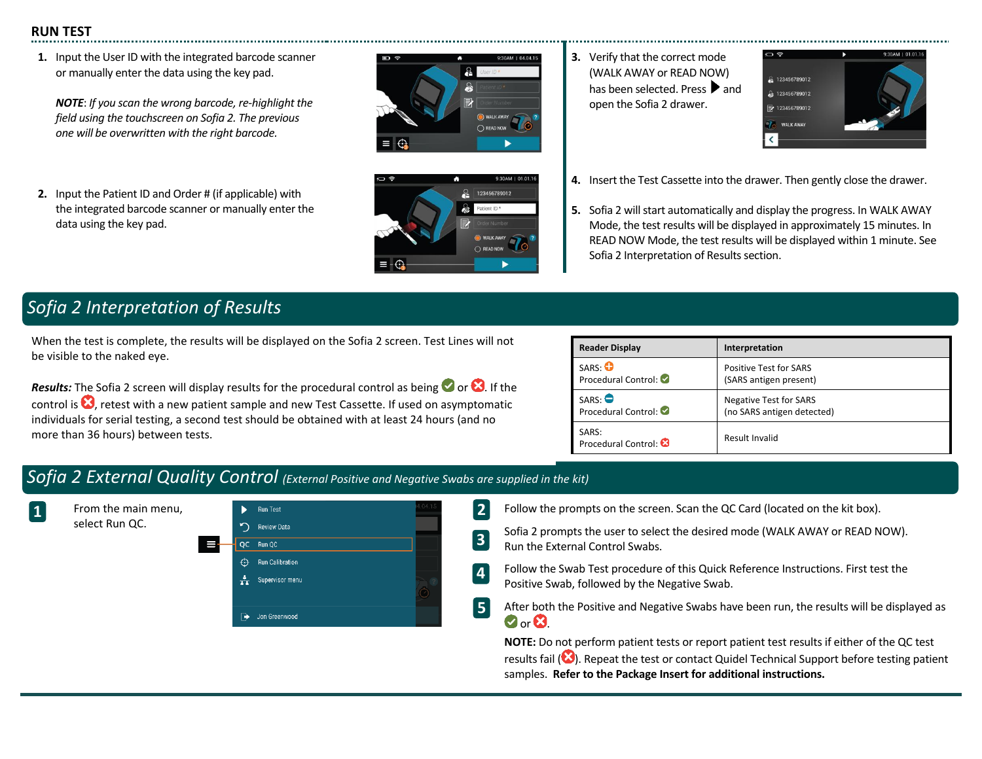# **RUN TEST**

**1.** Input the User ID with the integrated barcode scanner or manually enter the data using the key pad.

*NOTE*: *If you scan the wrong barcode, re-highlight the field using the touchscreen on Sofia 2. The previous one will be overwritten with the right barcode.*

**2.** Input the Patient ID and Order # (if applicable) with the integrated barcode scanner or manually enter the data using the key pad.





**3.** Verify that the correct mode (WALK AWAY or READ NOW) has been selected. Press and open the Sofia 2 drawer.



- **4.** Insert the Test Cassette into the drawer. Then gently close the drawer.
- **5.** Sofia 2 will start automatically and display the progress. In WALK AWAY Mode, the test results will be displayed in approximately 15 minutes. In READ NOW Mode, the test results will be displayed within 1 minute. See Sofia 2 Interpretation of Results section.

# *Sofia 2 Interpretation of Results*

When the test is complete, the results will be displayed on the Sofia 2 screen. Test Lines will not be visible to the naked eye.

**Results:** The Sofia 2 screen will display results for the procedural control as being  $\bullet$  or  $\bullet$ . If the control is  $\bigotimes$ , retest with a new patient sample and new Test Cassette. If used on asymptomatic individuals for serial testing, a second test should be obtained with at least 24 hours (and no more than 36 hours) between tests.

| <b>Reader Display</b>        | Interpretation                |
|------------------------------|-------------------------------|
| SARS: O                      | <b>Positive Test for SARS</b> |
| Procedural Control:          | (SARS antigen present)        |
| SARS.                        | <b>Negative Test for SARS</b> |
| Procedural Control:          | (no SARS antigen detected)    |
| SARS:<br>Procedural Control: | Result Invalid                |

# *Sofia 2 External Quality Control (External Positive and Negative Swabs are supplied in the kit)*



Follow the prompts on the screen. Scan the QC Card (located on the kit box).

Sofia 2 prompts the user to select the desired mode (WALK AWAY or READ NOW). Run the External Control Swabs.

- Follow the Swab Test procedure of this Quick Reference Instructions. First test the Positive Swab, followed by the Negative Swab.
- After both the Positive and Negative Swabs have been run, the results will be displayed as  $\bullet$  or  $\bullet$

**NOTE:** Do not perform patient tests or report patient test results if either of the QC test results fail ( $\bigotimes$ ). Repeat the test or contact Quidel Technical Support before testing patient samples. **Refer to the Package Insert for additional instructions.**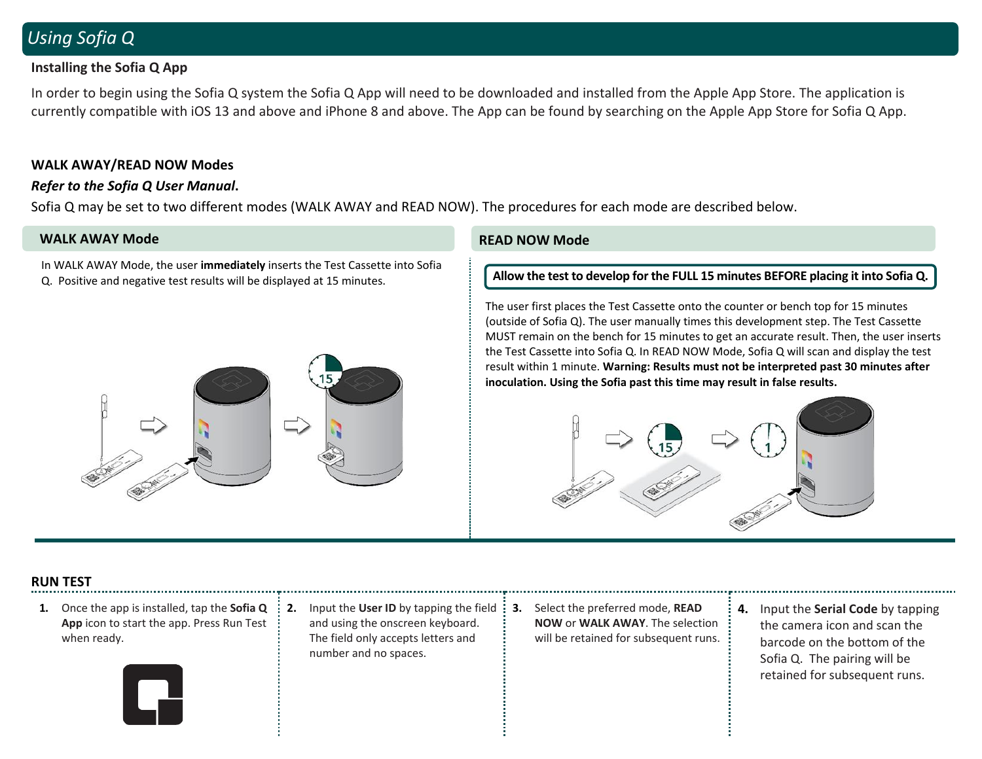# *Using Sofia Q*

# **Installing the Sofia Q App**

In order to begin using the Sofia Q system the Sofia Q App will need to be downloaded and installed from the Apple App Store. The application is currently compatible with iOS 13 and above and iPhone 8 and above. The App can be found by searching on the Apple App Store for Sofia Q App.

## **WALK AWAY/READ NOW Modes**

## *Refer to the Sofia Q User Manual***.**

Sofia Q may be set to two different modes (WALK AWAY and READ NOW). The procedures for each mode are described below.

## **WALK AWAY Mode READ NOW Mode**

In WALK AWAY Mode, the user **immediately** inserts the Test Cassette into Sofia Q. Positive and negative test results will be displayed at 15 minutes.



**Allow the test to develop for the FULL 15 minutes BEFORE placing it into Sofia Q.**

The user first places the Test Cassette onto the counter or bench top for 15 minutes (outside of Sofia Q). The user manually times this development step. The Test Cassette MUST remain on the bench for 15 minutes to get an accurate result. Then, the user inserts the Test Cassette into Sofia Q. In READ NOW Mode, Sofia Q will scan and display the test result within 1 minute. **Warning: Results must not be interpreted past 30 minutes after inoculation. Using the Sofia past this time may result in false results.**



## **RUN TEST**

- **1.** Once the app is installed, tap the **Sofia Q App** icon to start the app. Press Run Test when ready.
- **2.** Input the **User ID** by tapping the field and using the onscreen keyboard. The field only accepts letters and number and no spaces.
- **3.** Select the preferred mode, **READ NOW** or **WALK AWAY**. The selection will be retained for subsequent runs.
- **4.** Input the **Serial Code** by tapping the camera icon and scan the barcode on the bottom of the Sofia Q. The pairing will be retained for subsequent runs.

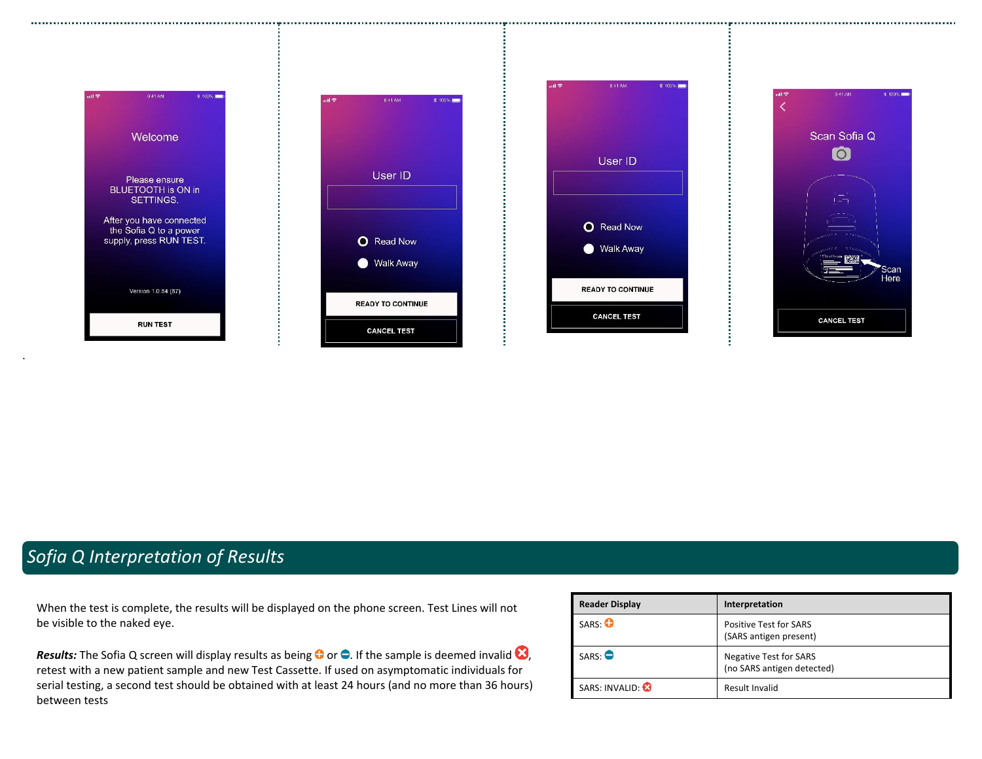

# *Sofia Q Interpretation of Results*

When the test is complete, the results will be displayed on the phone screen. Test Lines will not be visible to the naked eye.

*Results:* The Sofia Q screen will display results as being  $\bullet$  or  $\bullet$ . If the sample is deemed invalid  $\bullet$ , retest with a new patient sample and new Test Cassette. If used on asymptomatic individuals for serial testing, a second test should be obtained with at least 24 hours (and no more than 36 hours) between tests

|  | <b>Reader Display</b> | Interpretation                                              |
|--|-----------------------|-------------------------------------------------------------|
|  | SARS: O               | <b>Positive Test for SARS</b><br>(SARS antigen present)     |
|  | SARS                  | <b>Negative Test for SARS</b><br>(no SARS antigen detected) |
|  | SARS: INVALID: 8      | Result Invalid                                              |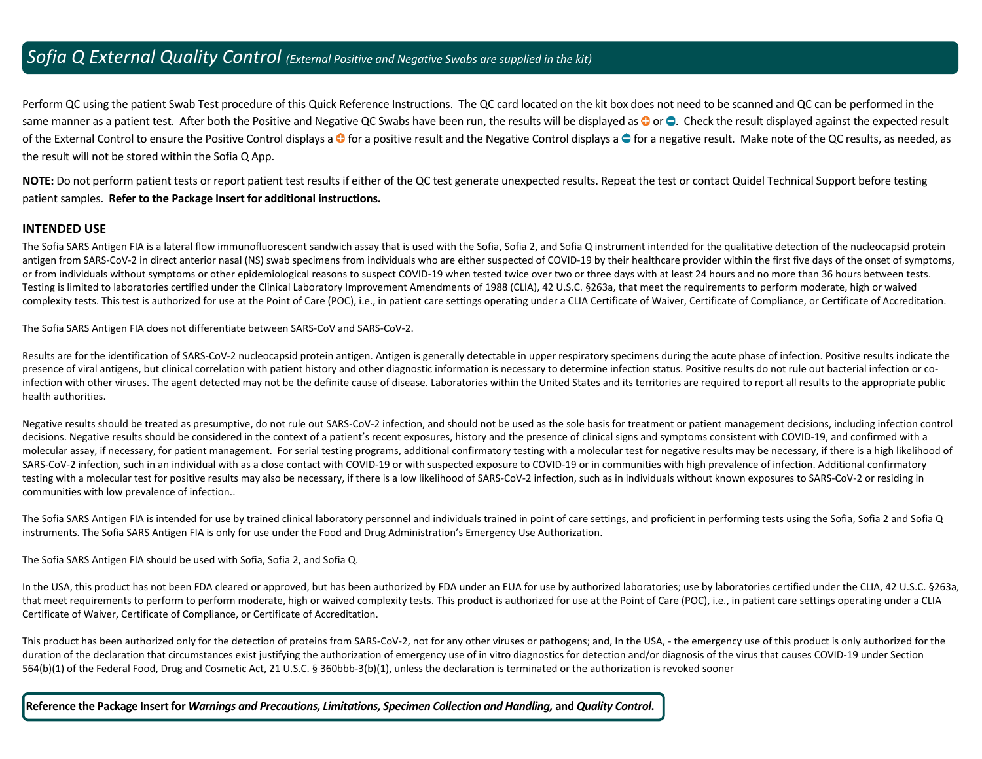# *Sofia Q External Quality Control (External Positive and Negative Swabs are supplied in the kit)*

Perform QC using the patient Swab Test procedure of this Quick Reference Instructions. The QC card located on the kit box does not need to be scanned and QC can be performed in the same manner as a patient test. After both the Positive and Negative QC Swabs have been run, the results will be displayed as  $\bullet$  or  $\bullet$ . Check the result displayed against the expected result of the External Control to ensure the Positive Control displays a  $\bullet$  for a positive result and the Negative Control displays a  $\bullet$  for a negative result. Make note of the QC results, as needed, as the result will not be stored within the Sofia Q App.

**NOTE:** Do not perform patient tests or report patient test results if either of the QC test generate unexpected results. Repeat the test or contact Quidel Technical Support before testing patient samples. **Refer to the Package Insert for additional instructions.**

### **INTENDED USE**

The Sofia SARS Antigen FIA is a lateral flow immunofluorescent sandwich assay that is used with the Sofia, Sofia 2, and Sofia Q instrument intended for the qualitative detection of the nucleocapsid protein antigen from SARS-CoV-2 in direct anterior nasal (NS) swab specimens from individuals who are either suspected of COVID-19 by their healthcare provider within the first five days of the onset of symptoms, or from individuals without symptoms or other epidemiological reasons to suspect COVID-19 when tested twice over two or three days with at least 24 hours and no more than 36 hours between tests. Testing is limited to laboratories certified under the Clinical Laboratory Improvement Amendments of 1988 (CLIA), 42 U.S.C. §263a, that meet the requirements to perform moderate, high or waived complexity tests. This test is authorized for use at the Point of Care (POC), i.e., in patient care settings operating under a CLIA Certificate of Waiver, Certificate of Compliance, or Certificate of Accreditation.

The Sofia SARS Antigen FIA does not differentiate between SARS-CoV and SARS-CoV-2.

Results are for the identification of SARS-CoV-2 nucleocapsid protein antigen. Antigen is generally detectable in upper respiratory specimens during the acute phase of infection. Positive results indicate the presence of viral antigens, but clinical correlation with patient history and other diagnostic information is necessary to determine infection status. Positive results do not rule out bacterial infection or coinfection with other viruses. The agent detected may not be the definite cause of disease. Laboratories within the United States and its territories are required to report all results to the appropriate public health authorities.

Negative results should be treated as presumptive, do not rule out SARS-CoV-2 infection, and should not be used as the sole basis for treatment or patient management decisions, including infection control decisions. Negative results should be considered in the context of a patient's recent exposures, history and the presence of clinical signs and symptoms consistent with COVID-19, and confirmed with a molecular assay, if necessary, for patient management. For serial testing programs, additional confirmatory testing with a molecular test for negative results may be necessary, if there is a high likelihood of SARS-CoV-2 infection, such in an individual with as a close contact with COVID-19 or with suspected exposure to COVID-19 or in communities with high prevalence of infection. Additional confirmatory testing with a molecular test for positive results may also be necessary, if there is a low likelihood of SARS-CoV-2 infection, such as in individuals without known exposures to SARS-CoV-2 or residing in communities with low prevalence of infection..

The Sofia SARS Antigen FIA is intended for use by trained clinical laboratory personnel and individuals trained in point of care settings, and proficient in performing tests using the Sofia, Sofia 2 and Sofia Q instruments. The Sofia SARS Antigen FIA is only for use under the Food and Drug Administration's Emergency Use Authorization.

The Sofia SARS Antigen FIA should be used with Sofia, Sofia 2, and Sofia Q.

In the USA, this product has not been FDA cleared or approved, but has been authorized by FDA under an EUA for use by authorized laboratories; use by laboratories certified under the CLIA, 42 U.S.C. §263a, that meet requirements to perform to perform moderate, high or waived complexity tests. This product is authorized for use at the Point of Care (POC), i.e., in patient care settings operating under a CLIA Certificate of Waiver, Certificate of Compliance, or Certificate of Accreditation.

This product has been authorized only for the detection of proteins from SARS-CoV-2, not for any other viruses or pathogens; and, In the USA, - the emergency use of this product is only authorized for the duration of the declaration that circumstances exist justifying the authorization of emergency use of in vitro diagnostics for detection and/or diagnosis of the virus that causes COVID-19 under Section 564(b)(1) of the Federal Food, Drug and Cosmetic Act, 21 U.S.C. § 360bbb-3(b)(1), unless the declaration is terminated or the authorization is revoked sooner

**Reference the Package Insert for** *Warnings and Precautions, Limitations, Specimen Collection and Handling,* **and** *Quality Control***.**